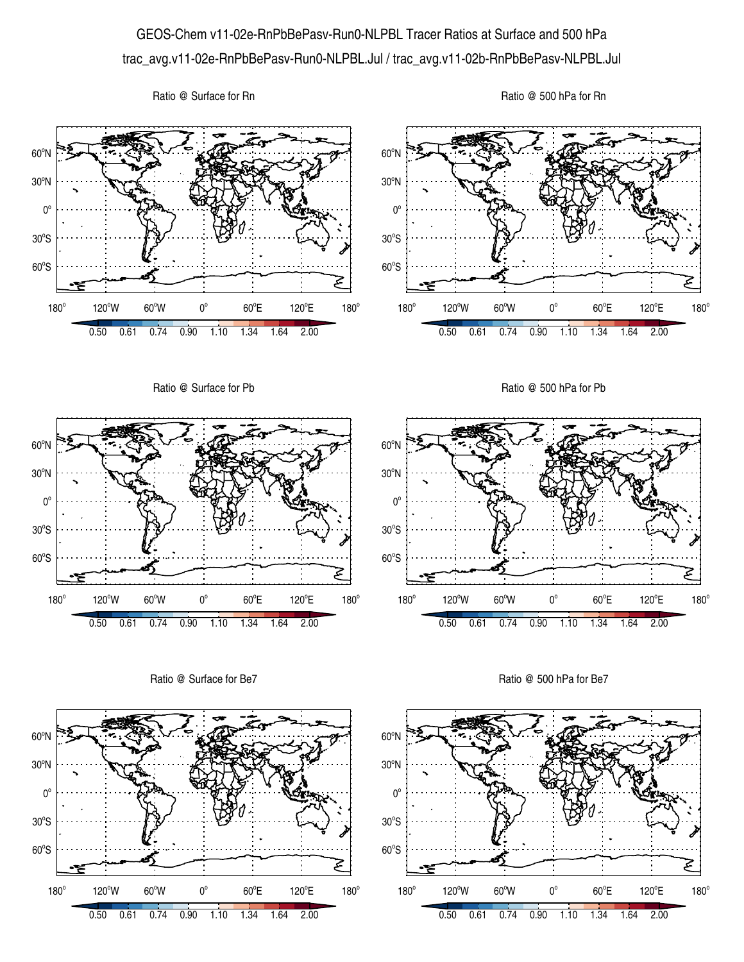## GEOS-Chem v11-02e-RnPbBePasv-Run0-NLPBL Tracer Ratios at Surface and 500 hPa trac\_avg.v11-02e-RnPbBePasv-Run0-NLPBL.Jul / trac\_avg.v11-02b-RnPbBePasv-NLPBL.Jul

Ratio @ Surface for Rn





Ratio @ Surface for Be7



Ratio @ 500 hPa for Be7